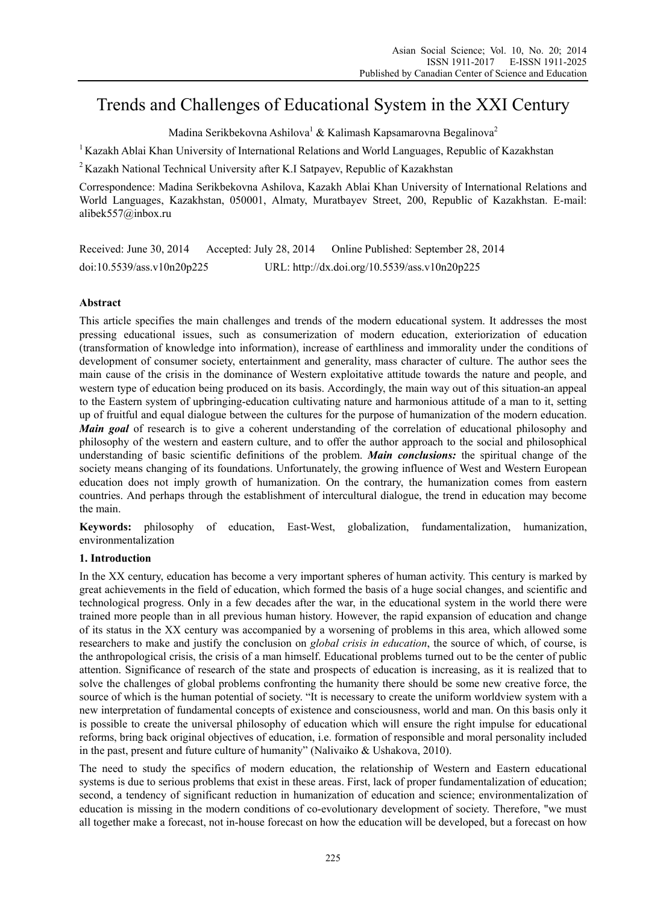# Trends and Challenges of Educational System in the XXI Century

Madina Serikbekovna Ashilova $^1$  & Kalimash Kapsamarovna Begalinova<sup>2</sup>

<sup>1</sup> Kazakh Ablai Khan University of International Relations and World Languages, Republic of Kazakhstan

<sup>2</sup> Kazakh National Technical University after K.I Satpayev, Republic of Kazakhstan

Correspondence: Madina Serikbekovna Ashilova, Kazakh Ablai Khan University of International Relations and World Languages, Kazakhstan, 050001, Almaty, Muratbayev Street, 200, Republic of Kazakhstan. E-mail: alibek557@inbox.ru

Received: June 30, 2014 Accepted: July 28, 2014 Online Published: September 28, 2014 doi:10.5539/ass.v10n20p225 URL: http://dx.doi.org/10.5539/ass.v10n20p225

## **Abstract**

This article specifies the main challenges and trends of the modern educational system. It addresses the most pressing educational issues, such as consumerization of modern education, exteriorization of education (transformation of knowledge into information), increase of earthliness and immorality under the conditions of development of consumer society, entertainment and generality, mass character of culture. The author sees the main cause of the crisis in the dominance of Western exploitative attitude towards the nature and people, and western type of education being produced on its basis. Accordingly, the main way out of this situation-an appeal to the Eastern system of upbringing-education cultivating nature and harmonious attitude of a man to it, setting up of fruitful and equal dialogue between the cultures for the purpose of humanization of the modern education. *Main goal* of research is to give a coherent understanding of the correlation of educational philosophy and philosophy of the western and eastern culture, and to offer the author approach to the social and philosophical understanding of basic scientific definitions of the problem. *Main conclusions:* the spiritual change of the society means changing of its foundations. Unfortunately, the growing influence of West and Western European education does not imply growth of humanization. On the contrary, the humanization comes from eastern countries. And perhaps through the establishment of intercultural dialogue, the trend in education may become the main.

**Keywords:** philosophy of education, East-West, globalization, fundamentalization, humanization, environmentalization

### **1. Introduction**

In the XX century, education has become a very important spheres of human activity. This century is marked by great achievements in the field of education, which formed the basis of a huge social changes, and scientific and technological progress. Only in a few decades after the war, in the educational system in the world there were trained more people than in all previous human history. However, the rapid expansion of education and change of its status in the XX century was accompanied by a worsening of problems in this area, which allowed some researchers to make and justify the conclusion on *global crisis in education*, the source of which, of course, is the anthropological crisis, the crisis of a man himself. Educational problems turned out to be the center of public attention. Significance of research of the state and prospects of education is increasing, as it is realized that to solve the challenges of global problems confronting the humanity there should be some new creative force, the source of which is the human potential of society. "It is necessary to create the uniform worldview system with a new interpretation of fundamental concepts of existence and consciousness, world and man. On this basis only it is possible to create the universal philosophy of education which will ensure the right impulse for educational reforms, bring back original objectives of education, i.e. formation of responsible and moral personality included in the past, present and future culture of humanity" (Nalivaiko & Ushakova, 2010).

The need to study the specifics of modern education, the relationship of Western and Eastern educational systems is due to serious problems that exist in these areas. First, lack of proper fundamentalization of education; second, a tendency of significant reduction in humanization of education and science; environmentalization of education is missing in the modern conditions of co-evolutionary development of society. Therefore, "we must all together make a forecast, not in-house forecast on how the education will be developed, but a forecast on how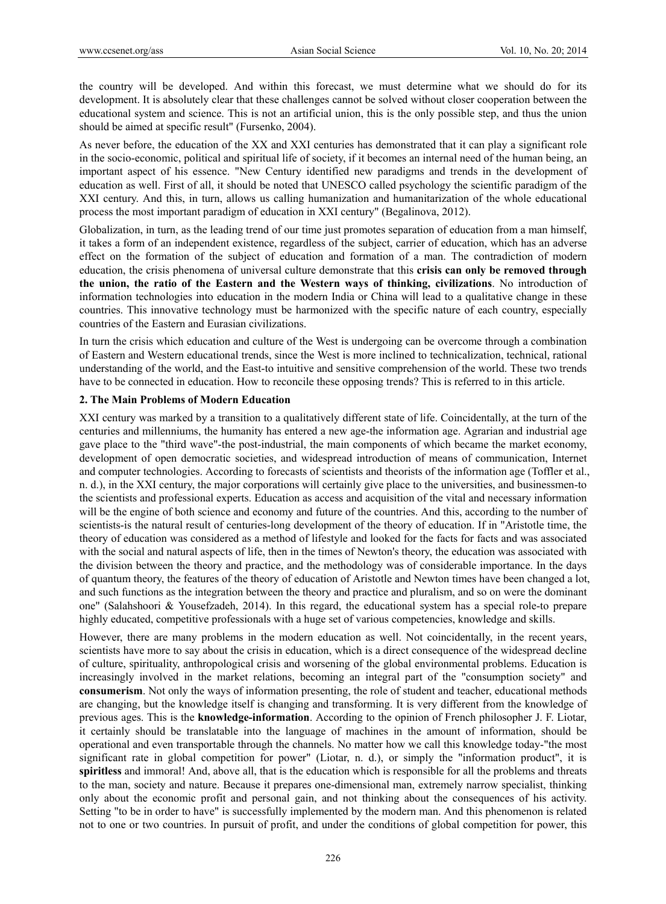the country will be developed. And within this forecast, we must determine what we should do for its development. It is absolutely clear that these challenges cannot be solved without closer cooperation between the educational system and science. This is not an artificial union, this is the only possible step, and thus the union should be aimed at specific result" (Fursenko, 2004).

As never before, the education of the XX and XXI centuries has demonstrated that it can play a significant role in the socio-economic, political and spiritual life of society, if it becomes an internal need of the human being, an important aspect of his essence. "New Century identified new paradigms and trends in the development of education as well. First of all, it should be noted that UNESCO called psychology the scientific paradigm of the XXI century. And this, in turn, allows us calling humanization and humanitarization of the whole educational process the most important paradigm of education in XXI century" (Begalinova, 2012).

Globalization, in turn, as the leading trend of our time just promotes separation of education from a man himself, it takes a form of an independent existence, regardless of the subject, carrier of education, which has an adverse effect on the formation of the subject of education and formation of a man. The contradiction of modern education, the crisis phenomena of universal culture demonstrate that this **crisis can only be removed through the union, the ratio of the Eastern and the Western ways of thinking, civilizations**. No introduction of information technologies into education in the modern India or China will lead to a qualitative change in these countries. This innovative technology must be harmonized with the specific nature of each country, especially countries of the Eastern and Eurasian civilizations.

In turn the crisis which education and culture of the West is undergoing can be overcome through a combination of Eastern and Western educational trends, since the West is more inclined to technicalization, technical, rational understanding of the world, and the East-to intuitive and sensitive comprehension of the world. These two trends have to be connected in education. How to reconcile these opposing trends? This is referred to in this article.

## **2. The Main Problems of Modern Education**

XXI century was marked by a transition to a qualitatively different state of life. Coincidentally, at the turn of the centuries and millenniums, the humanity has entered a new age-the information age. Agrarian and industrial age gave place to the "third wave"-the post-industrial, the main components of which became the market economy, development of open democratic societies, and widespread introduction of means of communication, Internet and computer technologies. According to forecasts of scientists and theorists of the information age (Toffler et al., n. d.), in the XXI century, the major corporations will certainly give place to the universities, and businessmen-to the scientists and professional experts. Education as access and acquisition of the vital and necessary information will be the engine of both science and economy and future of the countries. And this, according to the number of scientists-is the natural result of centuries-long development of the theory of education. If in "Aristotle time, the theory of education was considered as a method of lifestyle and looked for the facts for facts and was associated with the social and natural aspects of life, then in the times of Newton's theory, the education was associated with the division between the theory and practice, and the methodology was of considerable importance. In the days of quantum theory, the features of the theory of education of Aristotle and Newton times have been changed a lot, and such functions as the integration between the theory and practice and pluralism, and so on were the dominant one" (Salahshoori & Yousefzadeh, 2014). In this regard, the educational system has a special role-to prepare highly educated, competitive professionals with a huge set of various competencies, knowledge and skills.

However, there are many problems in the modern education as well. Not coincidentally, in the recent years, scientists have more to say about the crisis in education, which is a direct consequence of the widespread decline of culture, spirituality, anthropological crisis and worsening of the global environmental problems. Education is increasingly involved in the market relations, becoming an integral part of the "consumption society" and **consumerism**. Not only the ways of information presenting, the role of student and teacher, educational methods are changing, but the knowledge itself is changing and transforming. It is very different from the knowledge of previous ages. This is the **knowledge-information**. According to the opinion of French philosopher J. F. Liotar, it certainly should be translatable into the language of machines in the amount of information, should be operational and even transportable through the channels. No matter how we call this knowledge today-"the most significant rate in global competition for power" (Liotar, n. d.), or simply the "information product", it is **spiritless** and immoral! And, above all, that is the education which is responsible for all the problems and threats to the man, society and nature. Because it prepares one-dimensional man, extremely narrow specialist, thinking only about the economic profit and personal gain, and not thinking about the consequences of his activity. Setting "to be in order to have" is successfully implemented by the modern man. And this phenomenon is related not to one or two countries. In pursuit of profit, and under the conditions of global competition for power, this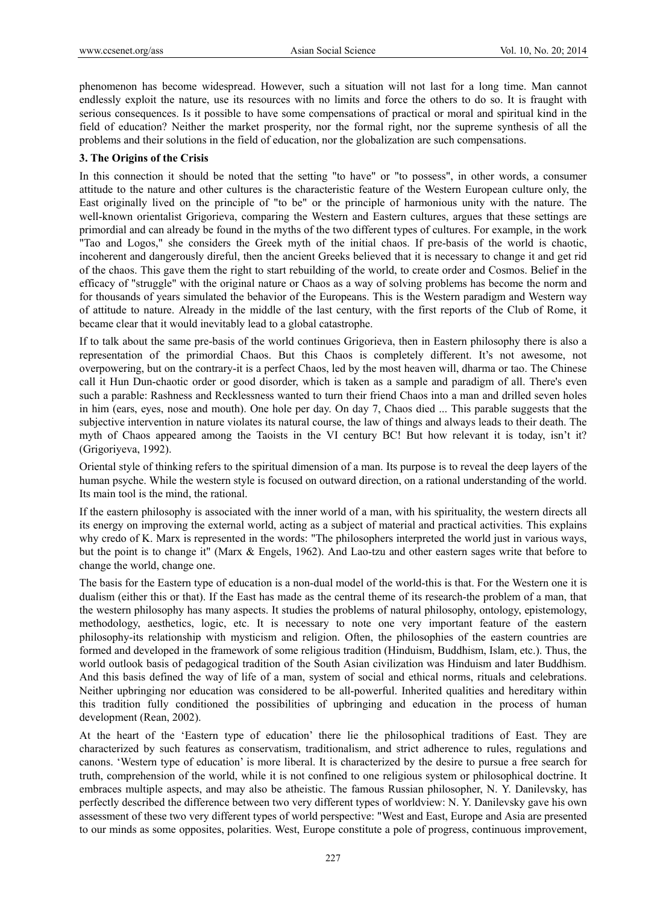phenomenon has become widespread. However, such a situation will not last for a long time. Man cannot endlessly exploit the nature, use its resources with no limits and force the others to do so. It is fraught with serious consequences. Is it possible to have some compensations of practical or moral and spiritual kind in the field of education? Neither the market prosperity, nor the formal right, nor the supreme synthesis of all the problems and their solutions in the field of education, nor the globalization are such compensations.

### **3. The Origins of the Crisis**

In this connection it should be noted that the setting "to have" or "to possess", in other words, a consumer attitude to the nature and other cultures is the characteristic feature of the Western European culture only, the East originally lived on the principle of "to be" or the principle of harmonious unity with the nature. The well-known orientalist Grigorieva, comparing the Western and Eastern cultures, argues that these settings are primordial and can already be found in the myths of the two different types of cultures. For example, in the work "Tao and Logos," she considers the Greek myth of the initial chaos. If pre-basis of the world is chaotic, incoherent and dangerously direful, then the ancient Greeks believed that it is necessary to change it and get rid of the chaos. This gave them the right to start rebuilding of the world, to create order and Cosmos. Belief in the efficacy of "struggle" with the original nature or Chaos as a way of solving problems has become the norm and for thousands of years simulated the behavior of the Europeans. This is the Western paradigm and Western way of attitude to nature. Already in the middle of the last century, with the first reports of the Club of Rome, it became clear that it would inevitably lead to a global catastrophe.

If to talk about the same pre-basis of the world continues Grigorieva, then in Eastern philosophy there is also a representation of the primordial Chaos. But this Chaos is completely different. It's not awesome, not overpowering, but on the contrary-it is a perfect Chaos, led by the most heaven will, dharma or tao. The Chinese call it Hun Dun-chaotic order or good disorder, which is taken as a sample and paradigm of all. There's even such a parable: Rashness and Recklessness wanted to turn their friend Chaos into a man and drilled seven holes in him (ears, eyes, nose and mouth). One hole per day. On day 7, Chaos died ... This parable suggests that the subjective intervention in nature violates its natural course, the law of things and always leads to their death. The myth of Chaos appeared among the Taoists in the VI century BC! But how relevant it is today, isn't it? (Grigoriyeva, 1992).

Oriental style of thinking refers to the spiritual dimension of a man. Its purpose is to reveal the deep layers of the human psyche. While the western style is focused on outward direction, on a rational understanding of the world. Its main tool is the mind, the rational.

If the eastern philosophy is associated with the inner world of a man, with his spirituality, the western directs all its energy on improving the external world, acting as a subject of material and practical activities. This explains why credo of K. Marx is represented in the words: "The philosophers interpreted the world just in various ways, but the point is to change it" (Marx & Engels, 1962). And Lao-tzu and other eastern sages write that before to change the world, change one.

The basis for the Eastern type of education is a non-dual model of the world-this is that. For the Western one it is dualism (either this or that). If the East has made as the central theme of its research-the problem of a man, that the western philosophy has many aspects. It studies the problems of natural philosophy, ontology, epistemology, methodology, aesthetics, logic, etc. It is necessary to note one very important feature of the eastern philosophy-its relationship with mysticism and religion. Often, the philosophies of the eastern countries are formed and developed in the framework of some religious tradition (Hinduism, Buddhism, Islam, etc.). Thus, the world outlook basis of pedagogical tradition of the South Asian civilization was Hinduism and later Buddhism. And this basis defined the way of life of a man, system of social and ethical norms, rituals and celebrations. Neither upbringing nor education was considered to be all-powerful. Inherited qualities and hereditary within this tradition fully conditioned the possibilities of upbringing and education in the process of human development (Rean, 2002).

At the heart of the 'Eastern type of education' there lie the philosophical traditions of East. They are characterized by such features as conservatism, traditionalism, and strict adherence to rules, regulations and canons. 'Western type of education' is more liberal. It is characterized by the desire to pursue a free search for truth, comprehension of the world, while it is not confined to one religious system or philosophical doctrine. It embraces multiple aspects, and may also be atheistic. The famous Russian philosopher, N. Y. Danilevsky, has perfectly described the difference between two very different types of worldview: N. Y. Danilevsky gave his own assessment of these two very different types of world perspective: "West and East, Europe and Asia are presented to our minds as some opposites, polarities. West, Europe constitute a pole of progress, continuous improvement,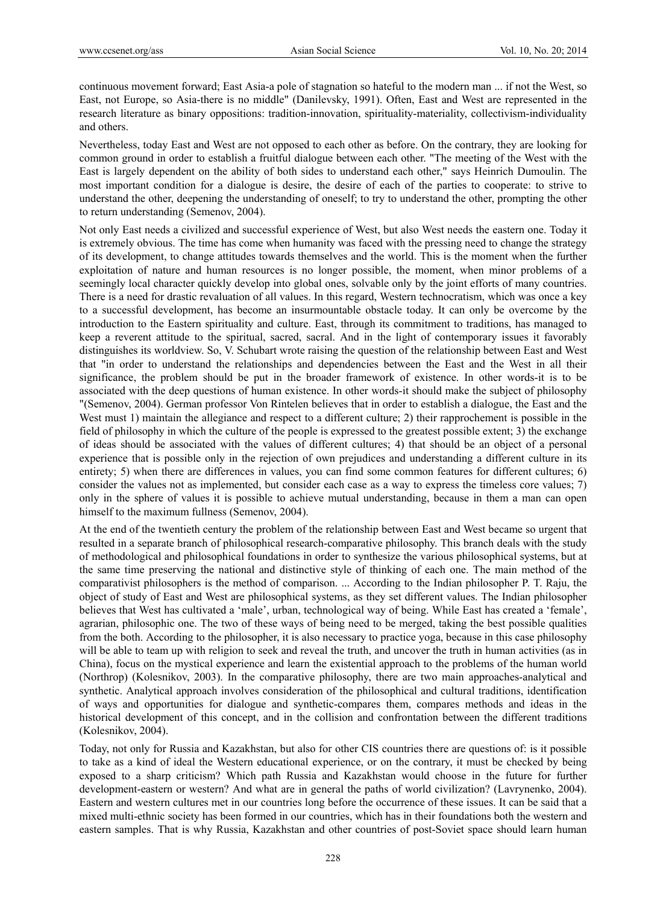continuous movement forward; East Asia-a pole of stagnation so hateful to the modern man ... if not the West, so East, not Europe, so Asia-there is no middle" (Danilevsky, 1991). Often, East and West are represented in the research literature as binary oppositions: tradition-innovation, spirituality-materiality, collectivism-individuality and others.

Nevertheless, today East and West are not opposed to each other as before. On the contrary, they are looking for common ground in order to establish a fruitful dialogue between each other. "The meeting of the West with the East is largely dependent on the ability of both sides to understand each other," says Heinrich Dumoulin. The most important condition for a dialogue is desire, the desire of each of the parties to cooperate: to strive to understand the other, deepening the understanding of oneself; to try to understand the other, prompting the other to return understanding (Semenov, 2004).

Not only East needs a civilized and successful experience of West, but also West needs the eastern one. Today it is extremely obvious. The time has come when humanity was faced with the pressing need to change the strategy of its development, to change attitudes towards themselves and the world. This is the moment when the further exploitation of nature and human resources is no longer possible, the moment, when minor problems of a seemingly local character quickly develop into global ones, solvable only by the joint efforts of many countries. There is a need for drastic revaluation of all values. In this regard, Western technocratism, which was once a key to a successful development, has become an insurmountable obstacle today. It can only be overcome by the introduction to the Eastern spirituality and culture. East, through its commitment to traditions, has managed to keep a reverent attitude to the spiritual, sacred, sacral. And in the light of contemporary issues it favorably distinguishes its worldview. So, V. Schubart wrote raising the question of the relationship between East and West that "in order to understand the relationships and dependencies between the East and the West in all their significance, the problem should be put in the broader framework of existence. In other words-it is to be associated with the deep questions of human existence. In other words-it should make the subject of philosophy "(Semenov, 2004). German professor Von Rintelen believes that in order to establish a dialogue, the East and the West must 1) maintain the allegiance and respect to a different culture; 2) their rapprochement is possible in the field of philosophy in which the culture of the people is expressed to the greatest possible extent; 3) the exchange of ideas should be associated with the values of different cultures; 4) that should be an object of a personal experience that is possible only in the rejection of own prejudices and understanding a different culture in its entirety; 5) when there are differences in values, you can find some common features for different cultures; 6) consider the values not as implemented, but consider each case as a way to express the timeless core values; 7) only in the sphere of values it is possible to achieve mutual understanding, because in them a man can open himself to the maximum fullness (Semenov, 2004).

At the end of the twentieth century the problem of the relationship between East and West became so urgent that resulted in a separate branch of philosophical research-comparative philosophy. This branch deals with the study of methodological and philosophical foundations in order to synthesize the various philosophical systems, but at the same time preserving the national and distinctive style of thinking of each one. The main method of the comparativist philosophers is the method of comparison. ... According to the Indian philosopher P. T. Raju, the object of study of East and West are philosophical systems, as they set different values. The Indian philosopher believes that West has cultivated a 'male', urban, technological way of being. While East has created a 'female', agrarian, philosophic one. The two of these ways of being need to be merged, taking the best possible qualities from the both. According to the philosopher, it is also necessary to practice yoga, because in this case philosophy will be able to team up with religion to seek and reveal the truth, and uncover the truth in human activities (as in China), focus on the mystical experience and learn the existential approach to the problems of the human world (Northrop) (Kolesnikov, 2003). In the comparative philosophy, there are two main approaches-analytical and synthetic. Analytical approach involves consideration of the philosophical and cultural traditions, identification of ways and opportunities for dialogue and synthetic-compares them, compares methods and ideas in the historical development of this concept, and in the collision and confrontation between the different traditions (Kolesnikov, 2004).

Today, not only for Russia and Kazakhstan, but also for other CIS countries there are questions of: is it possible to take as a kind of ideal the Western educational experience, or on the contrary, it must be checked by being exposed to a sharp criticism? Which path Russia and Kazakhstan would choose in the future for further development-eastern or western? And what are in general the paths of world civilization? (Lavrynenko, 2004). Eastern and western cultures met in our countries long before the occurrence of these issues. It can be said that a mixed multi-ethnic society has been formed in our countries, which has in their foundations both the western and eastern samples. That is why Russia, Kazakhstan and other countries of post-Soviet space should learn human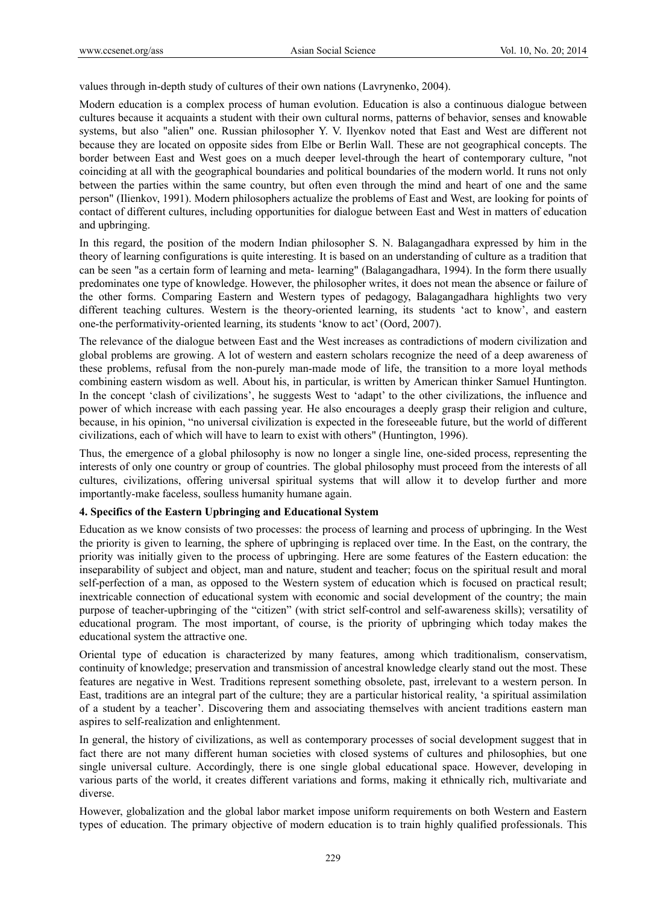values through in-depth study of cultures of their own nations (Lavrynenko, 2004).

Modern education is a complex process of human evolution. Education is also a continuous dialogue between cultures because it acquaints a student with their own cultural norms, patterns of behavior, senses and knowable systems, but also "alien" one. Russian philosopher Y. V. Ilyenkov noted that East and West are different not because they are located on opposite sides from Elbe or Berlin Wall. These are not geographical concepts. The border between East and West goes on a much deeper level-through the heart of contemporary culture, "not coinciding at all with the geographical boundaries and political boundaries of the modern world. It runs not only between the parties within the same country, but often even through the mind and heart of one and the same person" (Ilienkov, 1991). Modern philosophers actualize the problems of East and West, are looking for points of contact of different cultures, including opportunities for dialogue between East and West in matters of education and upbringing.

In this regard, the position of the modern Indian philosopher S. N. Balagangadhara expressed by him in the theory of learning configurations is quite interesting. It is based on an understanding of culture as a tradition that can be seen "as a certain form of learning and meta- learning" (Balagangadhara, 1994). In the form there usually predominates one type of knowledge. However, the philosopher writes, it does not mean the absence or failure of the other forms. Comparing Eastern and Western types of pedagogy, Balagangadhara highlights two very different teaching cultures. Western is the theory-oriented learning, its students 'act to know', and eastern one-the performativity-oriented learning, its students 'know to act' (Oord, 2007).

The relevance of the dialogue between East and the West increases as contradictions of modern civilization and global problems are growing. A lot of western and eastern scholars recognize the need of a deep awareness of these problems, refusal from the non-purely man-made mode of life, the transition to a more loyal methods combining eastern wisdom as well. About his, in particular, is written by American thinker Samuel Huntington. In the concept 'clash of civilizations', he suggests West to 'adapt' to the other civilizations, the influence and power of which increase with each passing year. He also encourages a deeply grasp their religion and culture, because, in his opinion, "no universal civilization is expected in the foreseeable future, but the world of different civilizations, each of which will have to learn to exist with others" (Huntington, 1996).

Thus, the emergence of a global philosophy is now no longer a single line, one-sided process, representing the interests of only one country or group of countries. The global philosophy must proceed from the interests of all cultures, civilizations, offering universal spiritual systems that will allow it to develop further and more importantly-make faceless, soulless humanity humane again.

### **4. Specifics of the Eastern Upbringing and Educational System**

Education as we know consists of two processes: the process of learning and process of upbringing. In the West the priority is given to learning, the sphere of upbringing is replaced over time. In the East, on the contrary, the priority was initially given to the process of upbringing. Here are some features of the Eastern education: the inseparability of subject and object, man and nature, student and teacher; focus on the spiritual result and moral self-perfection of a man, as opposed to the Western system of education which is focused on practical result; inextricable connection of educational system with economic and social development of the country; the main purpose of teacher-upbringing of the "citizen" (with strict self-control and self-awareness skills); versatility of educational program. The most important, of course, is the priority of upbringing which today makes the educational system the attractive one.

Oriental type of education is characterized by many features, among which traditionalism, conservatism, continuity of knowledge; preservation and transmission of ancestral knowledge clearly stand out the most. These features are negative in West. Traditions represent something obsolete, past, irrelevant to a western person. In East, traditions are an integral part of the culture; they are a particular historical reality, 'a spiritual assimilation of a student by a teacher'. Discovering them and associating themselves with ancient traditions eastern man aspires to self-realization and enlightenment.

In general, the history of civilizations, as well as contemporary processes of social development suggest that in fact there are not many different human societies with closed systems of cultures and philosophies, but one single universal culture. Accordingly, there is one single global educational space. However, developing in various parts of the world, it creates different variations and forms, making it ethnically rich, multivariate and diverse.

However, globalization and the global labor market impose uniform requirements on both Western and Eastern types of education. The primary objective of modern education is to train highly qualified professionals. This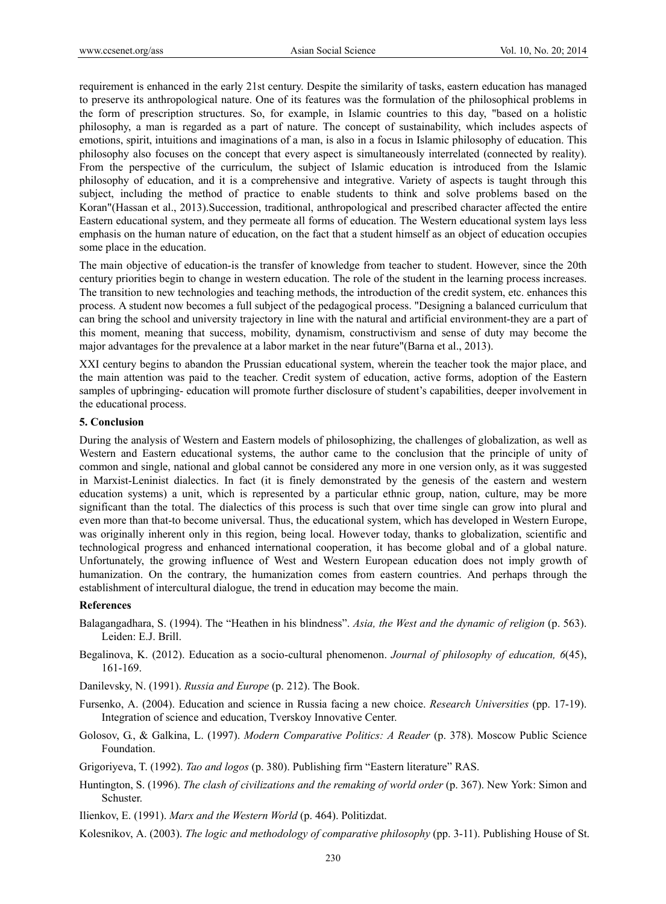requirement is enhanced in the early 21st century. Despite the similarity of tasks, eastern education has managed to preserve its anthropological nature. One of its features was the formulation of the philosophical problems in the form of prescription structures. So, for example, in Islamic countries to this day, "based on a holistic philosophy, a man is regarded as a part of nature. The concept of sustainability, which includes aspects of emotions, spirit, intuitions and imaginations of a man, is also in a focus in Islamic philosophy of education. This philosophy also focuses on the concept that every aspect is simultaneously interrelated (connected by reality). From the perspective of the curriculum, the subject of Islamic education is introduced from the Islamic philosophy of education, and it is a comprehensive and integrative. Variety of aspects is taught through this subject, including the method of practice to enable students to think and solve problems based on the Koran"(Hassan et al., 2013).Succession, traditional, anthropological and prescribed character affected the entire Eastern educational system, and they permeate all forms of education. The Western educational system lays less emphasis on the human nature of education, on the fact that a student himself as an object of education occupies some place in the education.

The main objective of education-is the transfer of knowledge from teacher to student. However, since the 20th century priorities begin to change in western education. The role of the student in the learning process increases. The transition to new technologies and teaching methods, the introduction of the credit system, etc. enhances this process. A student now becomes a full subject of the pedagogical process. "Designing a balanced curriculum that can bring the school and university trajectory in line with the natural and artificial environment-they are a part of this moment, meaning that success, mobility, dynamism, constructivism and sense of duty may become the major advantages for the prevalence at a labor market in the near future"(Barna et al., 2013).

XXI century begins to abandon the Prussian educational system, wherein the teacher took the major place, and the main attention was paid to the teacher. Credit system of education, active forms, adoption of the Eastern samples of upbringing- education will promote further disclosure of student's capabilities, deeper involvement in the educational process.

#### **5. Conclusion**

During the analysis of Western and Eastern models of philosophizing, the challenges of globalization, as well as Western and Eastern educational systems, the author came to the conclusion that the principle of unity of common and single, national and global cannot be considered any more in one version only, as it was suggested in Marxist-Leninist dialectics. In fact (it is finely demonstrated by the genesis of the eastern and western education systems) a unit, which is represented by a particular ethnic group, nation, culture, may be more significant than the total. The dialectics of this process is such that over time single can grow into plural and even more than that-to become universal. Thus, the educational system, which has developed in Western Europe, was originally inherent only in this region, being local. However today, thanks to globalization, scientific and technological progress and enhanced international cooperation, it has become global and of a global nature. Unfortunately, the growing influence of West and Western European education does not imply growth of humanization. On the contrary, the humanization comes from eastern countries. And perhaps through the establishment of intercultural dialogue, the trend in education may become the main.

#### **References**

- Balagangadhara, S. (1994). The "Heathen in his blindness". *Asia, the West and the dynamic of religion* (p. 563). Leiden: E.J. Brill.
- Begalinova, K. (2012). Education as a socio-cultural phenomenon. *Journal of philosophy of education, 6*(45), 161-169.
- Danilevsky, N. (1991). *Russia and Europe* (p. 212). The Book.
- Fursenko, A. (2004). Education and science in Russia facing a new choice. *Research Universities* (pp. 17-19). Integration of science and education, Tverskoy Innovative Center.
- Golosov, G., & Galkina, L. (1997). *Modern Comparative Politics: A Reader* (p. 378). Moscow Public Science Foundation.

Grigoriyeva, T. (1992). *Tao and logos* (p. 380). Publishing firm "Eastern literature" RAS.

- Huntington, S. (1996). *The clash of civilizations and the remaking of world order* (p. 367). New York: Simon and Schuster.
- Ilienkov, E. (1991). *Marx and the Western World* (p. 464). Politizdat.
- Kolesnikov, A. (2003). *The logic and methodology of comparative philosophy* (pp. 3-11). Publishing House of St.